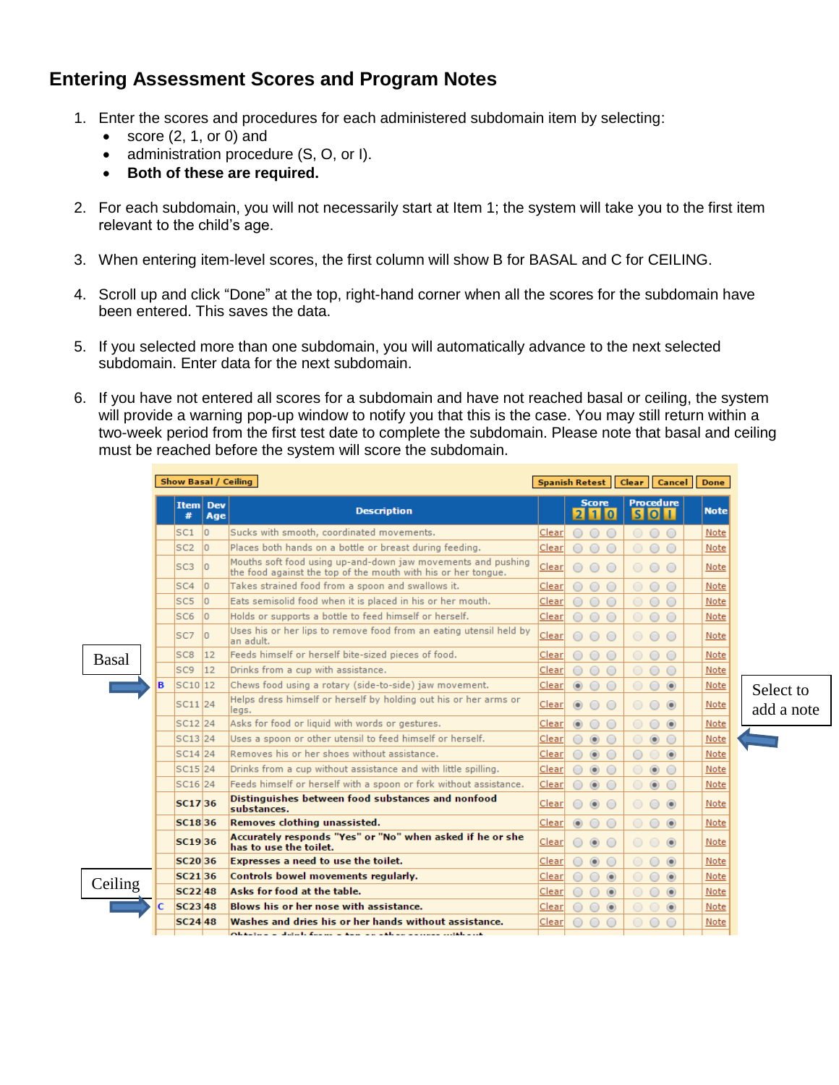## **Entering Assessment Scores and Program Notes**

- 1. Enter the scores and procedures for each administered subdomain item by selecting:
	- $\bullet$  score (2, 1, or 0) and
	- administration procedure (S, O, or I).
	- **Both of these are required.**
- 2. For each subdomain, you will not necessarily start at Item 1; the system will take you to the first item relevant to the child's age.
- 3. When entering item-level scores, the first column will show B for BASAL and C for CEILING.
- 4. Scroll up and click "Done" at the top, right-hand corner when all the scores for the subdomain have been entered. This saves the data.
- 5. If you selected more than one subdomain, you will automatically advance to the next selected subdomain. Enter data for the next subdomain.
- 6. If you have not entered all scores for a subdomain and have not reached basal or ceiling, the system will provide a warning pop-up window to notify you that this is the case. You may still return within a two-week period from the first test date to complete the subdomain. Please note that basal and ceiling must be reached before the system will score the subdomain.

|              |   | Show Basal / Ceiling |     |                                                                                                                               |       | <b>Spanish Retest</b>                      | <b>Clear</b> | Cancel                           | <b>Done</b> |            |
|--------------|---|----------------------|-----|-------------------------------------------------------------------------------------------------------------------------------|-------|--------------------------------------------|--------------|----------------------------------|-------------|------------|
|              |   | Item Dev<br>#        | Age | <b>Description</b>                                                                                                            |       | <b>Score</b><br>$210$                      |              | <b>Procedure</b><br>$S$ O $\Box$ | <b>Note</b> |            |
|              |   | SC1                  | lo. | Sucks with smooth, coordinated movements.                                                                                     | Clear | $\bigcirc$<br>$\bigcirc$<br>$\circ$        |              | $\circ$<br>$\circ$               | Note        |            |
|              |   | SC <sub>2</sub>      | lo. | Places both hands on a bottle or breast during feeding.                                                                       | Clear | $\bigcirc$<br>$\circ$<br>$\bigcirc$        | $\bigcirc$   | $\circ$<br>$\bigcirc$            | Note        |            |
|              |   | SC <sub>3</sub>      | lo. | Mouths soft food using up-and-down jaw movements and pushing<br>the food against the top of the mouth with his or her tongue. | Clear | $\bigcirc$<br>$\circ$<br>$\bigcirc$        |              | 000                              | Note        |            |
|              |   | SC <sub>4</sub>      | lo. | Takes strained food from a spoon and swallows it.                                                                             | Clear | ∩<br>$\circ$<br>$\bigcirc$                 | $\bigcirc$   | $\circ$<br>$\circ$               | Note        |            |
|              |   | SC <sub>5</sub>      | lo. | Eats semisolid food when it is placed in his or her mouth.                                                                    | Clear | $\circ$<br>$\bigcirc$<br>$\bigcirc$        | $\circ$      | $\circ$<br>$\circ$               | Note        |            |
|              |   | SC <sub>6</sub>      | lo. | Holds or supports a bottle to feed himself or herself.                                                                        | Clear | $\bigcirc$<br>$\bigcirc$<br>$\circ$        | $\bigcirc$   | $\circ$<br>$\bigcirc$            | Note        |            |
|              |   | SC <sub>7</sub>      | lo. | Uses his or her lips to remove food from an eating utensil held by<br>an adult.                                               | Clear | $\bigcirc$<br>$\bigcirc$<br>$\bigcirc$     | $\circ$      | $\circ$ $\circ$                  | Note        |            |
| <b>Basal</b> | в | SC <sub>8</sub>      | 12  | Feeds himself or herself bite-sized pieces of food.                                                                           | Clear | $\bigcirc$<br>∩<br>$\circ$                 | $\circ$      | $\circ$<br>$\circ$               | Note        |            |
|              |   | SC <sub>9</sub>      | 12  | Drinks from a cup with assistance.                                                                                            | Clear | $\bigcirc$<br>∩<br>∩                       | $\bigcirc$   | $\circ$<br>$\bigcirc$            | Note        |            |
|              |   | SC10 12              |     | Chews food using a rotary (side-to-side) jaw movement.                                                                        | Clear | $\circledcirc$                             |              | $\circ$<br>$\circledcirc$        | Note        | Select to  |
|              |   | SC11 24              |     | Helps dress himself or herself by holding out his or her arms or<br>legs.                                                     | Clear | $\circledcirc$<br>$\circ$<br>$\circ$       | $\circ$      | $\circ$ $\circ$                  | Note        | add a note |
|              |   | SC <sub>12</sub> 24  |     | Asks for food or liquid with words or gestures.                                                                               | Clear | $\circledcirc$                             | $\circ$      | $\circ$<br>$\circledcirc$        | Note        |            |
|              |   | SC13 <sub>24</sub>   |     | Uses a spoon or other utensil to feed himself or herself.                                                                     | Clear | $\circledcirc$<br>$\bigcirc$<br>∩          | $\circ$      | $\circledcirc$<br>$\circ$        | Note        |            |
|              |   | SC14 24              |     | Removes his or her shoes without assistance.                                                                                  | Clear | $\circledcirc$                             | $\circ$      | $\circledcirc$                   | Note        |            |
|              |   | SC15 24              |     | Drinks from a cup without assistance and with little spilling.                                                                | Clear | $\circledcirc$<br>$\bigcirc$               |              | $\circledcirc$<br>$\bigcirc$     | Note        |            |
|              |   | SC16 24              |     | Feeds himself or herself with a spoon or fork without assistance.                                                             | Clear | $\circledcirc$                             |              | $\circledcirc$<br>$\bigcirc$     | Note        |            |
|              |   | <b>SC1736</b>        |     | Distinguishes between food substances and nonfood<br>substances.                                                              | Clear | ∩<br>$\circledcirc$<br>$\circ$             | $\circ$      | $\circ$ $\bullet$                | Note        |            |
|              |   | SC1836               |     | Removes clothing unassisted.                                                                                                  | Clear | $\circledcirc$<br>0<br>$\circ$             | $\circ$      | $\circ$<br>$\circledcirc$        | Note        |            |
| Ceiling      |   | SC1936               |     | Accurately responds "Yes" or "No" when asked if he or she<br>has to use the toilet.                                           | Clear | $\circledcirc$<br>∩<br>$\bigcirc$          | $\circ$      | $\circledcirc$<br>$\circ$        | Note        |            |
|              |   | SC2036               |     | Expresses a need to use the toilet.                                                                                           | Clear | $\circledcirc$<br>∩                        | $\circ$      | $\circ$<br>$\circledcirc$        | Note        |            |
|              |   | SC <sub>21</sub> 36  |     | Controls bowel movements regularly.                                                                                           | Clear | $\bigcirc$<br>$\circledcirc$<br>$\circ$    | $\circ$      | $\circledcirc$<br>$\circ$        | Note        |            |
|              |   | <b>SC2248</b>        |     | Asks for food at the table.                                                                                                   | Clear | $\bigcirc$<br>$\circledcirc$<br>∩          | $\bigcirc$   | $\circ$<br>$\circledcirc$        | Note        |            |
|              |   | $SC23$ 48            |     | Blows his or her nose with assistance.                                                                                        | Clear | $\circledcirc$<br>$\bigcirc$<br>$\bigcirc$ | $\bigcirc$   | $\circledcirc$                   | Note        |            |
|              |   | <b>SC2448</b>        |     | Washes and dries his or her hands without assistance.                                                                         | Clear |                                            |              |                                  | Note        |            |
|              |   |                      |     | Alexandre de distrito francese de la constata de la concernación de la col                                                    |       |                                            |              |                                  |             |            |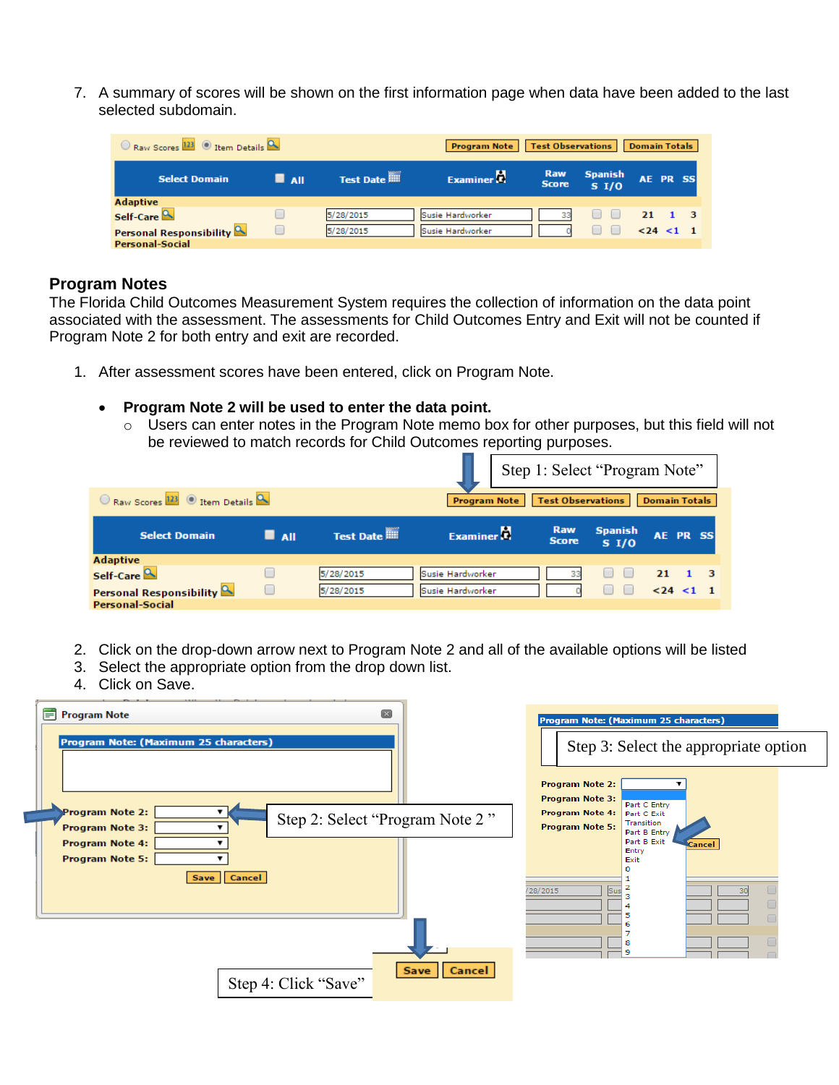7. A summary of scores will be shown on the first information page when data have been added to the last selected subdomain.

| $\circ$ Raw Scores $^{123}$ $\circ$ Item Details $\sim$ |     |           | <b>Program Note</b>   | <b>Test Observations</b> |                                     | <b>Domain Totals</b> |  |
|---------------------------------------------------------|-----|-----------|-----------------------|--------------------------|-------------------------------------|----------------------|--|
| <b>Select Domain</b>                                    | All | Test Date | Examiner <sup>1</sup> | Raw<br><b>Score</b>      | <b>Spanish</b><br>S <sub>1</sub> /0 | AE PR SS             |  |
| <b>Adaptive</b>                                         |     |           |                       |                          |                                     |                      |  |
| Self-Care <sup>Q</sup>                                  |     | 5/28/2015 | Susie Hardworker      |                          |                                     | 21.                  |  |
| <b>Personal Responsibility</b>                          |     | 5/28/2015 | Susie Hardworker      |                          |                                     | $< 24 < 1$ 1         |  |
| <b>Personal-Social</b>                                  |     |           |                       |                          |                                     |                      |  |

## **Program Notes**

The Florida Child Outcomes Measurement System requires the collection of information on the data point associated with the assessment. The assessments for Child Outcomes Entry and Exit will not be counted if Program Note 2 for both entry and exit are recorded.

- 1. After assessment scores have been entered, click on Program Note.
	- **Program Note 2 will be used to enter the data point.** 
		- o Users can enter notes in the Program Note memo box for other purposes, but this field will not be reviewed to match records for Child Outcomes reporting purposes.

|                                 |                    |           |                        |                            | Step 1: Select "Program Note"       |                      |  |
|---------------------------------|--------------------|-----------|------------------------|----------------------------|-------------------------------------|----------------------|--|
| Raw Scores 123 O Item Details Q |                    |           | <b>Program Note</b>    | <b>Test Observations</b>   |                                     | <b>Domain Totals</b> |  |
| <b>Select Domain</b>            | $\blacksquare$ All | Test Date | Examiner <sup>17</sup> | <b>Raw</b><br><b>Score</b> | <b>Spanish</b><br>S <sub>1</sub> /O | AE PR SS             |  |
| <b>Adaptive</b>                 |                    |           |                        |                            |                                     |                      |  |
| Self-Care                       |                    | 5/28/2015 | Susie Hardworker       |                            | $\Box$                              | 21                   |  |
| Personal Responsibility         |                    | 5/28/2015 | Susie Hardworker       |                            |                                     | $< 24 < 1$ 1         |  |
| <b>Personal-Social</b>          |                    |           |                        |                            |                                     |                      |  |

- 2. Click on the drop-down arrow next to Program Note 2 and all of the available options will be listed
- 3. Select the appropriate option from the drop down list.
- 4. Click on Save.

| Ħ<br>$\boxtimes$<br><b>Program Note</b><br>Program Note: (Maximum 25 characters)         | Program Note: (Maximum 25 characters)<br>Step 3: Select the appropriate option                                                                                                             |
|------------------------------------------------------------------------------------------|--------------------------------------------------------------------------------------------------------------------------------------------------------------------------------------------|
| Program Note 2:<br>Step 2: Select "Program Note 2"<br>Program Note 3:<br>Program Note 4: | <b>Program Note 2:</b><br><b>Program Note 3:</b><br>Part C Entry<br><b>Program Note 4:</b><br>Part C Exit<br>Transition<br><b>Program Note 5:</b><br>Part B Entry<br>Part B Exit<br>Cancel |
| Program Note 5:<br>Cancel<br>Save                                                        | Entry<br>Exit<br>/28/2015<br>Sus                                                                                                                                                           |
| Cancel<br>Save<br>Step 4: Click "Save"                                                   | 8<br>۰                                                                                                                                                                                     |